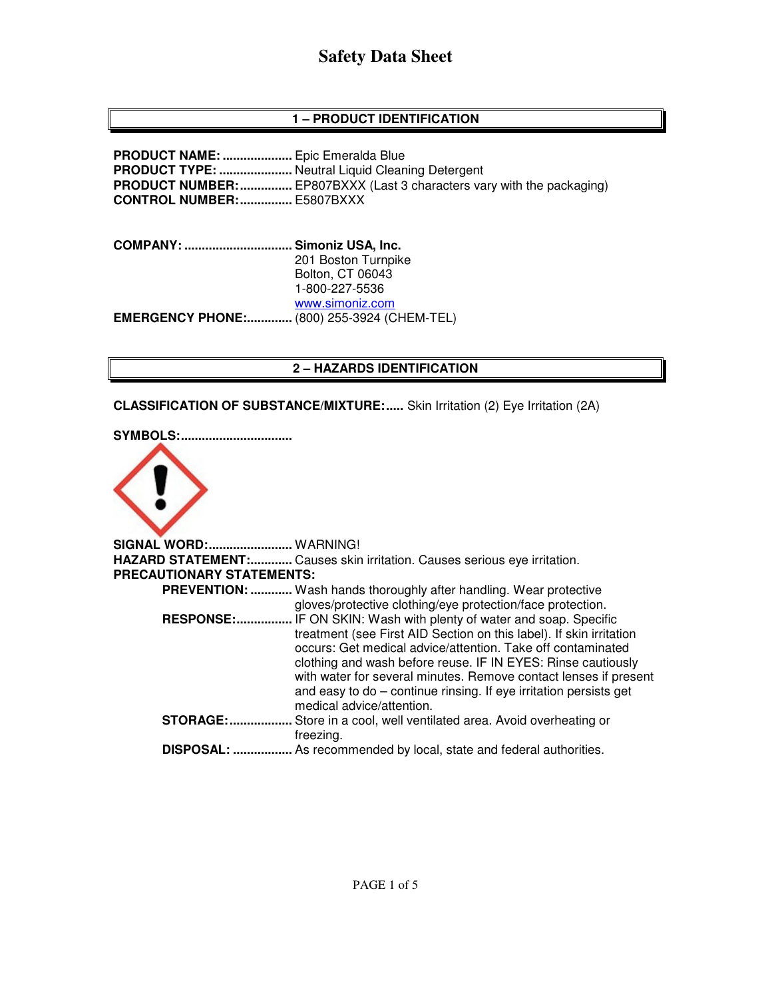## **1 – PRODUCT IDENTIFICATION**

**PRODUCT NAME: ....................** Epic Emeralda Blue **PRODUCT TYPE: ......................** Neutral Liquid Cleaning Detergent **PRODUCT NUMBER: ...............** EP807BXXX (Last 3 characters vary with the packaging) **CONTROL NUMBER: ...............** E5807BXXX

**COMPANY: ............................... Simoniz USA, Inc.** 201 Boston Turnpike Bolton, CT 06043 1-800-227-5536 www.simoniz.com **EMERGENCY PHONE:.............** (800) 255-3924 (CHEM-TEL)

### **2 – HAZARDS IDENTIFICATION**

**CLASSIFICATION OF SUBSTANCE/MIXTURE:.....** Skin Irritation (2) Eye Irritation (2A)

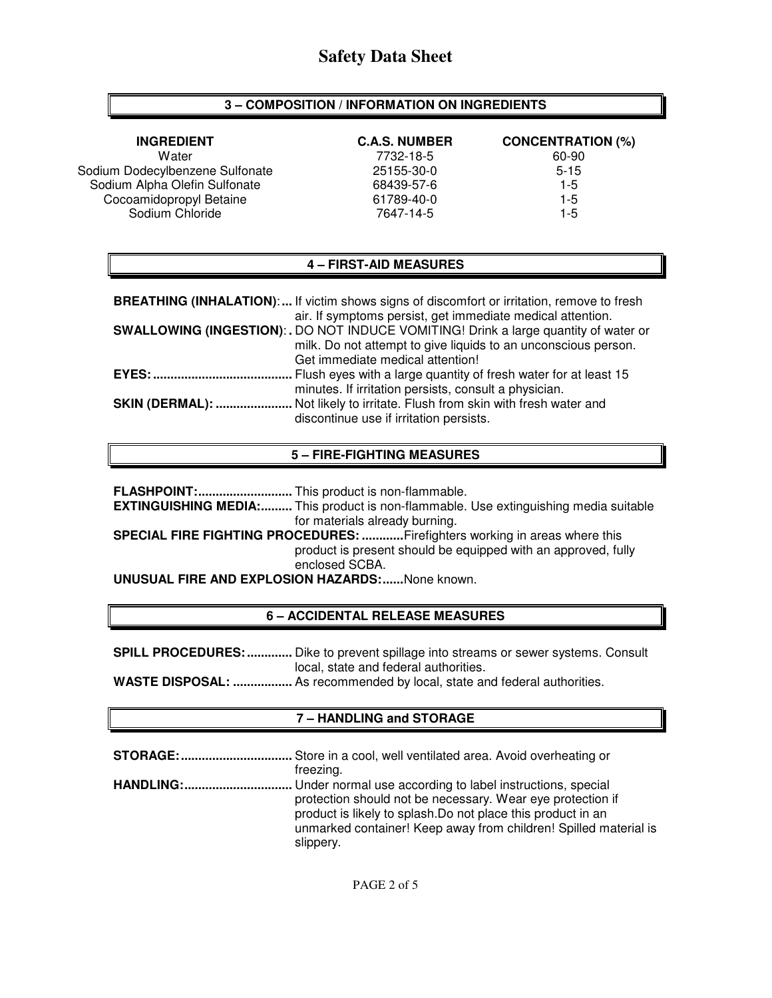### **3 – COMPOSITION / INFORMATION ON INGREDIENTS**

| <b>INGREDIENT</b>               | <b>C.A.S. NUMBER</b> | <b>CONCENTRATION (%)</b> |
|---------------------------------|----------------------|--------------------------|
| Water                           | 7732-18-5            | 60-90                    |
| Sodium Dodecylbenzene Sulfonate | 25155-30-0           | $5 - 15$                 |
| Sodium Alpha Olefin Sulfonate   | 68439-57-6           | $1-5$                    |
| Cocoamidopropyl Betaine         | 61789-40-0           | $1 - 5$                  |
| Sodium Chloride                 | 7647-14-5            | $1-5$                    |

### **4 – FIRST-AID MEASURES**

|              | <b>BREATHING (INHALATION):</b> If victim shows signs of discomfort or irritation, remove to fresh                                                  |
|--------------|----------------------------------------------------------------------------------------------------------------------------------------------------|
|              | air. If symptoms persist, get immediate medical attention.<br>SWALLOWING (INGESTION): . DO NOT INDUCE VOMITING! Drink a large quantity of water or |
|              | milk. Do not attempt to give liquids to an unconscious person.                                                                                     |
|              | Get immediate medical attention!                                                                                                                   |
| <b>EYES:</b> | . Flush eyes with a large quantity of fresh water for at least 15                                                                                  |
|              | minutes. If irritation persists, consult a physician.                                                                                              |
|              | SKIN (DERMAL):  Not likely to irritate. Flush from skin with fresh water and<br>discontinue use if irritation persists.                            |

### **5 – FIRE-FIGHTING MEASURES**

**FLASHPOINT: ...........................** This product is non-flammable.

**EXTINGUISHING MEDIA:.........** This product is non-flammable. Use extinguishing media suitable for materials already burning.

**SPECIAL FIRE FIGHTING PROCEDURES: ............** Firefighters working in areas where this product is present should be equipped with an approved, fully enclosed SCBA.

**UNUSUAL FIRE AND EXPLOSION HAZARDS: ......** None known.

### **6 – ACCIDENTAL RELEASE MEASURES**

**SPILL PROCEDURES: .............** Dike to prevent spillage into streams or sewer systems. Consult local, state and federal authorities.

**WASTE DISPOSAL: .................** As recommended by local, state and federal authorities.

## **7 – HANDLING and STORAGE**

| <b>STORAGE:</b> Store in a cool, well ventilated area. Avoid overheating or                                                                                                                                 |
|-------------------------------------------------------------------------------------------------------------------------------------------------------------------------------------------------------------|
| freezing.                                                                                                                                                                                                   |
| <b>HANDLING:</b> Under normal use according to label instructions, special                                                                                                                                  |
| protection should not be necessary. Wear eye protection if<br>product is likely to splash. Do not place this product in an<br>unmarked container! Keep away from children! Spilled material is<br>slippery. |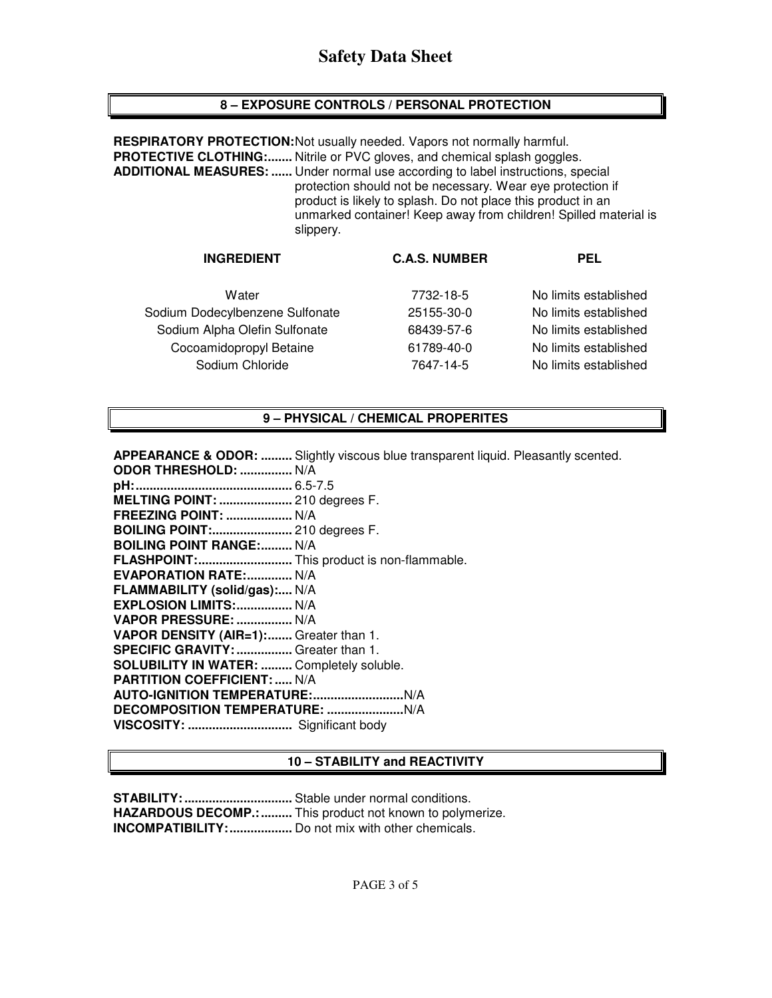## **8 – EXPOSURE CONTROLS / PERSONAL PROTECTION**

**RESPIRATORY PROTECTION: Not usually needed. Vapors not normally harmful. PROTECTIVE CLOTHING:.......** Nitrile or PVC gloves, and chemical splash goggles. **ADDITIONAL MEASURES: ......** Under normal use according to label instructions, special protection should not be necessary. Wear eye protection if product is likely to splash. Do not place this product in an unmarked container! Keep away from children! Spilled material is slippery.

| <b>C.A.S. NUMBER</b> | <b>PEL</b>            |
|----------------------|-----------------------|
| 7732-18-5            | No limits established |
| 25155-30-0           | No limits established |
| 68439-57-6           | No limits established |
| 61789-40-0           | No limits established |
| 7647-14-5            | No limits established |
|                      |                       |

## **9 – PHYSICAL / CHEMICAL PROPERITES**

| <b>APPEARANCE &amp; ODOR: </b> Slightly viscous blue transparent liquid. Pleasantly scented. |
|----------------------------------------------------------------------------------------------|
| <b>ODOR THRESHOLD:  N/A</b>                                                                  |
|                                                                                              |
| MELTING POINT:  210 degrees F.                                                               |
| <b>FREEZING POINT:  N/A</b>                                                                  |
| <b>BOILING POINT: 210 degrees F.</b>                                                         |
| <b>BOILING POINT RANGE: N/A</b>                                                              |
| FLASHPOINT: This product is non-flammable.                                                   |
| <b>EVAPORATION RATE: N/A</b>                                                                 |
| FLAMMABILITY (solid/gas): N/A                                                                |
| EXPLOSION LIMITS:  N/A                                                                       |
| VAPOR PRESSURE:  N/A                                                                         |
| VAPOR DENSITY (AIR=1): Greater than 1.                                                       |
| SPECIFIC GRAVITY:  Greater than 1.                                                           |
| <b>SOLUBILITY IN WATER:  Completely soluble.</b>                                             |
| <b>PARTITION COEFFICIENT:  N/A</b>                                                           |
|                                                                                              |
|                                                                                              |
| VISCOSITY:  Significant body                                                                 |

## **10 – STABILITY and REACTIVITY**

**STABILITY: ...............................** Stable under normal conditions. **HAZARDOUS DECOMP.: .........** This product not known to polymerize. **INCOMPATIBILITY: ..................** Do not mix with other chemicals.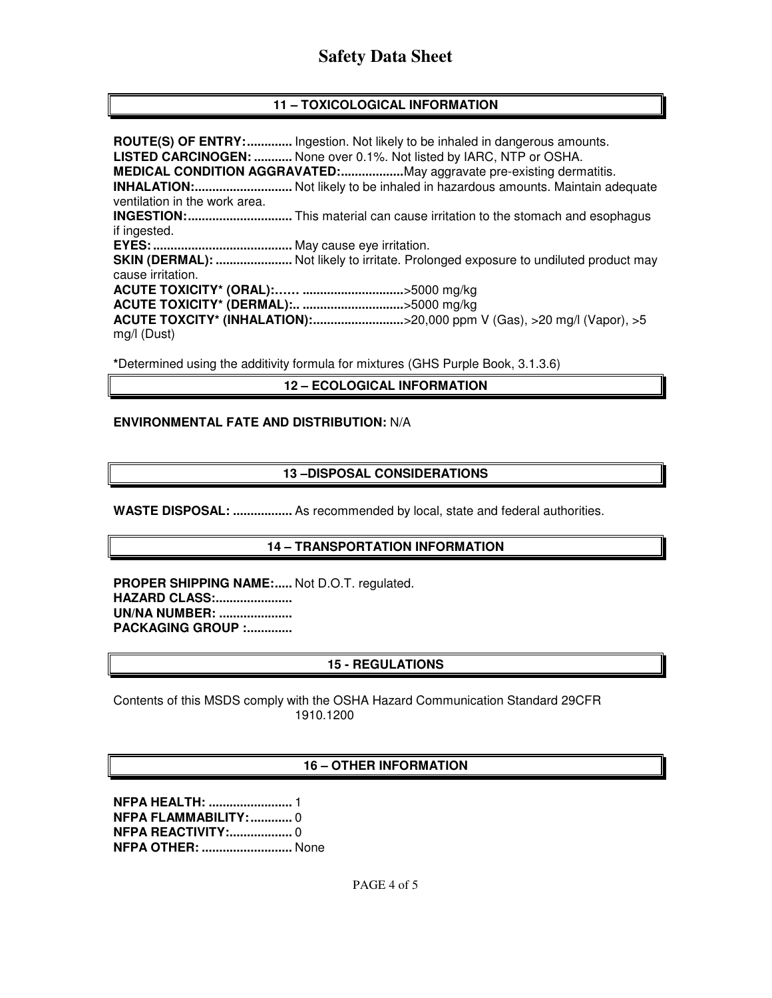## **11 – TOXICOLOGICAL INFORMATION**

**ROUTE(S) OF ENTRY: .............** Ingestion. Not likely to be inhaled in dangerous amounts. **LISTED CARCINOGEN: ...........** None over 0.1%. Not listed by IARC, NTP or OSHA. **MEDICAL CONDITION AGGRAVATED: ..................** May aggravate pre-existing dermatitis. **INHALATION: ............................** Not likely to be inhaled in hazardous amounts. Maintain adequate ventilation in the work area. **INGESTION: ..............................** This material can cause irritation to the stomach and esophagus if ingested. **EYES: ........................................** May cause eye irritation. **SKIN (DERMAL): .......................** Not likely to irritate. Prolonged exposure to undiluted product may cause irritation. **ACUTE TOXICITY\* (ORAL):…… .............................** >5000 mg/kg **ACUTE TOXICITY\* (DERMAL):.. .............................** >5000 mg/kg **ACUTE TOXCITY\* (INHALATION): ..........................** >20,000 ppm V (Gas), >20 mg/l (Vapor), >5 mg/l (Dust)

**\***Determined using the additivity formula for mixtures (GHS Purple Book, 3.1.3.6)

**12 – ECOLOGICAL INFORMATION** 

#### **ENVIRONMENTAL FATE AND DISTRIBUTION:** N/A

### **13 –DISPOSAL CONSIDERATIONS**

**WASTE DISPOSAL: .................** As recommended by local, state and federal authorities.

### **14 – TRANSPORTATION INFORMATION**

PROPER SHIPPING NAME:..... Not D.O.T. regulated. **HAZARD CLASS: ...................... UN/NA NUMBER: ..................... PACKAGING GROUP :.............** 

## **15 - REGULATIONS**

Contents of this MSDS comply with the OSHA Hazard Communication Standard 29CFR 1910.1200

### **16 – OTHER INFORMATION**

**NFPA HEALTH: ........................** 1 **NFPA FLAMMABILITY: ............** 0 **NFPA REACTIVITY:................... 0 NFPA OTHER: ..........................** None